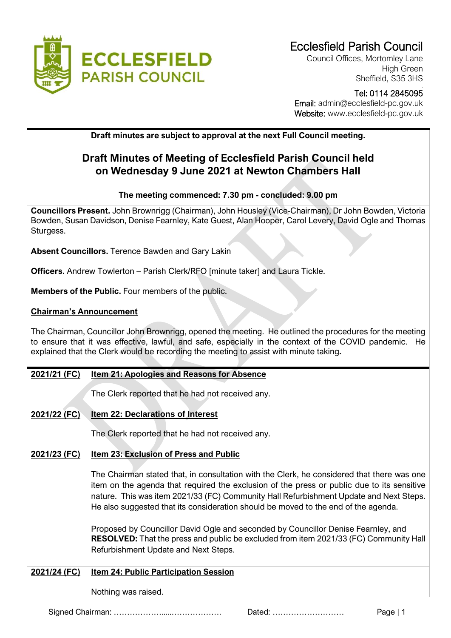

Council Offices, Mortomley Lane High Green Sheffield, S35 3HS

### Tel: 0114 2845095 Email: admin@ecclesfield-pc.gov.uk Website: www.ecclesfield-pc.gov.uk

**Draft minutes are subject to approval at the next Full Council meeting.** 

# **Draft Minutes of Meeting of Ecclesfield Parish Council held on Wednesday 9 June 2021 at Newton Chambers Hall**

## **The meeting commenced: 7.30 pm - concluded: 9.00 pm**

**Councillors Present.** John Brownrigg (Chairman), John Housley (Vice-Chairman), Dr John Bowden, Victoria Bowden, Susan Davidson, Denise Fearnley, Kate Guest, Alan Hooper, Carol Levery, David Ogle and Thomas Sturgess.

**Absent Councillors.** Terence Bawden and Gary Lakin

**Officers.** Andrew Towlerton – Parish Clerk/RFO [minute taker] and Laura Tickle.

**Members of the Public.** Four members of the public.

## **Chairman's Announcement**

The Chairman, Councillor John Brownrigg, opened the meeting. He outlined the procedures for the meeting to ensure that it was effective, lawful, and safe, especially in the context of the COVID pandemic. He explained that the Clerk would be recording the meeting to assist with minute taking**.**

| 2021/21 (FC) | <b>Item 21: Apologies and Reasons for Absence</b>                                                                                                                                                                                                                                                                                                                                                                                                             |  |  |  |
|--------------|---------------------------------------------------------------------------------------------------------------------------------------------------------------------------------------------------------------------------------------------------------------------------------------------------------------------------------------------------------------------------------------------------------------------------------------------------------------|--|--|--|
|              | The Clerk reported that he had not received any.                                                                                                                                                                                                                                                                                                                                                                                                              |  |  |  |
| 2021/22 (FC) | <b>Item 22: Declarations of Interest</b>                                                                                                                                                                                                                                                                                                                                                                                                                      |  |  |  |
|              | The Clerk reported that he had not received any.                                                                                                                                                                                                                                                                                                                                                                                                              |  |  |  |
| 2021/23 (FC) | Item 23: Exclusion of Press and Public                                                                                                                                                                                                                                                                                                                                                                                                                        |  |  |  |
|              | The Chairman stated that, in consultation with the Clerk, he considered that there was one<br>item on the agenda that required the exclusion of the press or public due to its sensitive<br>nature. This was item 2021/33 (FC) Community Hall Refurbishment Update and Next Steps.<br>He also suggested that its consideration should be moved to the end of the agenda.<br>Proposed by Councillor David Ogle and seconded by Councillor Denise Fearnley, and |  |  |  |
|              | <b>RESOLVED:</b> That the press and public be excluded from item 2021/33 (FC) Community Hall<br>Refurbishment Update and Next Steps.                                                                                                                                                                                                                                                                                                                          |  |  |  |
| 2021/24 (FC) | <b>Item 24: Public Participation Session</b>                                                                                                                                                                                                                                                                                                                                                                                                                  |  |  |  |
|              | Nothing was raised.                                                                                                                                                                                                                                                                                                                                                                                                                                           |  |  |  |

Signed Chairman: ……………….....………………. Dated: ……………………… Page | 1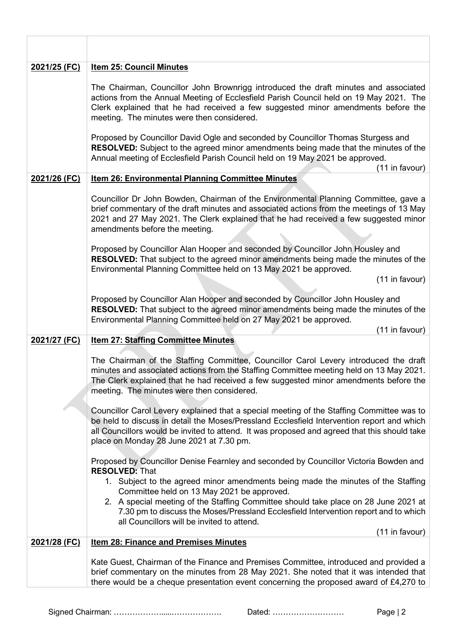| <u>2021/25 (FC)</u> | <b>Item 25: Council Minutes</b>                                                                                                                                                                                                                                                                                                     |
|---------------------|-------------------------------------------------------------------------------------------------------------------------------------------------------------------------------------------------------------------------------------------------------------------------------------------------------------------------------------|
|                     | The Chairman, Councillor John Brownrigg introduced the draft minutes and associated<br>actions from the Annual Meeting of Ecclesfield Parish Council held on 19 May 2021. The<br>Clerk explained that he had received a few suggested minor amendments before the<br>meeting. The minutes were then considered.                     |
|                     | Proposed by Councillor David Ogle and seconded by Councillor Thomas Sturgess and<br><b>RESOLVED:</b> Subject to the agreed minor amendments being made that the minutes of the<br>Annual meeting of Ecclesfield Parish Council held on 19 May 2021 be approved.<br>(11 in favour)                                                   |
| 2021/26 (FC)        | Item 26: Environmental Planning Committee Minutes                                                                                                                                                                                                                                                                                   |
|                     | Councillor Dr John Bowden, Chairman of the Environmental Planning Committee, gave a<br>brief commentary of the draft minutes and associated actions from the meetings of 13 May<br>2021 and 27 May 2021. The Clerk explained that he had received a few suggested minor<br>amendments before the meeting.                           |
|                     | Proposed by Councillor Alan Hooper and seconded by Councillor John Housley and<br><b>RESOLVED:</b> That subject to the agreed minor amendments being made the minutes of the<br>Environmental Planning Committee held on 13 May 2021 be approved.<br>(11 in favour)                                                                 |
|                     | Proposed by Councillor Alan Hooper and seconded by Councillor John Housley and<br>RESOLVED: That subject to the agreed minor amendments being made the minutes of the<br>Environmental Planning Committee held on 27 May 2021 be approved.<br>(11 in favour)                                                                        |
| 2021/27 (FC)        | <b>Item 27: Staffing Committee Minutes</b>                                                                                                                                                                                                                                                                                          |
|                     | The Chairman of the Staffing Committee, Councillor Carol Levery introduced the draft<br>minutes and associated actions from the Staffing Committee meeting held on 13 May 2021.<br>The Clerk explained that he had received a few suggested minor amendments before the<br>meeting. The minutes were then considered.               |
|                     | Councillor Carol Levery explained that a special meeting of the Staffing Committee was to<br>be held to discuss in detail the Moses/Pressland Ecclesfield Intervention report and which<br>all Councillors would be invited to attend. It was proposed and agreed that this should take<br>place on Monday 28 June 2021 at 7.30 pm. |
|                     | Proposed by Councillor Denise Fearnley and seconded by Councillor Victoria Bowden and<br><b>RESOLVED: That</b>                                                                                                                                                                                                                      |
|                     | 1. Subject to the agreed minor amendments being made the minutes of the Staffing<br>Committee held on 13 May 2021 be approved.                                                                                                                                                                                                      |
|                     | 2. A special meeting of the Staffing Committee should take place on 28 June 2021 at<br>7.30 pm to discuss the Moses/Pressland Ecclesfield Intervention report and to which<br>all Councillors will be invited to attend.                                                                                                            |
|                     | (11 in favour)                                                                                                                                                                                                                                                                                                                      |
| 2021/28 (FC)        | <b>Item 28: Finance and Premises Minutes</b>                                                                                                                                                                                                                                                                                        |
|                     | Kate Guest, Chairman of the Finance and Premises Committee, introduced and provided a<br>brief commentary on the minutes from 28 May 2021. She noted that it was intended that<br>there would be a cheque presentation event concerning the proposed award of £4,270 to                                                             |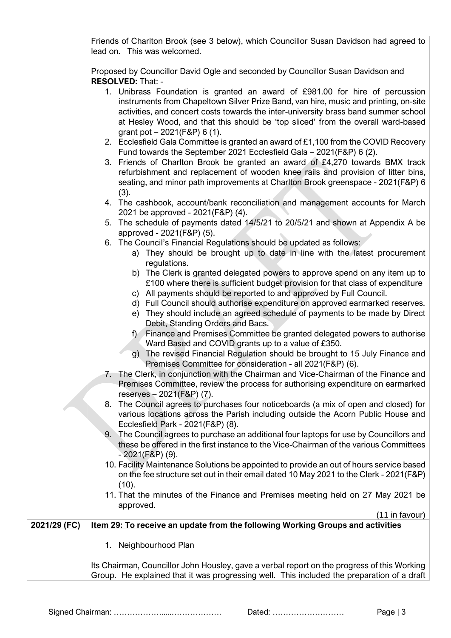|              | Friends of Charlton Brook (see 3 below), which Councillor Susan Davidson had agreed to<br>lead on. This was welcomed.                                                                                                                                                                                                                                                            |
|--------------|----------------------------------------------------------------------------------------------------------------------------------------------------------------------------------------------------------------------------------------------------------------------------------------------------------------------------------------------------------------------------------|
|              | Proposed by Councillor David Ogle and seconded by Councillor Susan Davidson and<br>RESOLVED: That: -                                                                                                                                                                                                                                                                             |
|              | 1. Unibrass Foundation is granted an award of £981.00 for hire of percussion<br>instruments from Chapeltown Silver Prize Band, van hire, music and printing, on-site<br>activities, and concert costs towards the inter-university brass band summer school<br>at Hesley Wood, and that this should be 'top sliced' from the overall ward-based<br>grant pot $-2021(F&P) 6(1)$ . |
|              | 2. Ecclesfield Gala Committee is granted an award of £1,100 from the COVID Recovery<br>Fund towards the September 2021 Ecclesfield Gala - 2021(F&P) 6 (2).                                                                                                                                                                                                                       |
|              | 3. Friends of Charlton Brook be granted an award of £4,270 towards BMX track<br>refurbishment and replacement of wooden knee rails and provision of litter bins,<br>seating, and minor path improvements at Charlton Brook greenspace - 2021(F&P) 6<br>(3).                                                                                                                      |
|              | 4. The cashbook, account/bank reconciliation and management accounts for March<br>2021 be approved - 2021(F&P) (4).                                                                                                                                                                                                                                                              |
|              | 5. The schedule of payments dated 14/5/21 to 20/5/21 and shown at Appendix A be<br>approved - 2021(F&P) (5).                                                                                                                                                                                                                                                                     |
|              | 6. The Council's Financial Regulations should be updated as follows:<br>a) They should be brought up to date in line with the latest procurement<br>regulations.                                                                                                                                                                                                                 |
|              | b) The Clerk is granted delegated powers to approve spend on any item up to<br>£100 where there is sufficient budget provision for that class of expenditure                                                                                                                                                                                                                     |
|              | c) All payments should be reported to and approved by Full Council.<br>d) Full Council should authorise expenditure on approved earmarked reserves.                                                                                                                                                                                                                              |
|              | e) They should include an agreed schedule of payments to be made by Direct<br>Debit, Standing Orders and Bacs.                                                                                                                                                                                                                                                                   |
|              | Finance and Premises Committee be granted delegated powers to authorise<br>f)<br>Ward Based and COVID grants up to a value of £350.                                                                                                                                                                                                                                              |
|              | g) The revised Financial Regulation should be brought to 15 July Finance and<br>Premises Committee for consideration - all 2021(F&P) (6).<br>7. The Clerk, in conjunction with the Chairman and Vice-Chairman of the Finance and                                                                                                                                                 |
|              | Premises Committee, review the process for authorising expenditure on earmarked<br>reserves - 2021(F&P) (7).                                                                                                                                                                                                                                                                     |
|              | The Council agrees to purchases four noticeboards (a mix of open and closed) for<br>8.<br>various locations across the Parish including outside the Acorn Public House and<br>Ecclesfield Park - 2021(F&P) (8).                                                                                                                                                                  |
|              | The Council agrees to purchase an additional four laptops for use by Councillors and<br>9.<br>these be offered in the first instance to the Vice-Chairman of the various Committees<br>$-2021(F8P)$ (9).                                                                                                                                                                         |
|              | 10. Facility Maintenance Solutions be appointed to provide an out of hours service based<br>on the fee structure set out in their email dated 10 May 2021 to the Clerk - 2021(F&P)<br>(10).                                                                                                                                                                                      |
|              | 11. That the minutes of the Finance and Premises meeting held on 27 May 2021 be<br>approved.<br>(11 in favour)                                                                                                                                                                                                                                                                   |
| 2021/29 (FC) | Item 29: To receive an update from the following Working Groups and activities                                                                                                                                                                                                                                                                                                   |
|              | Neighbourhood Plan<br>1.                                                                                                                                                                                                                                                                                                                                                         |
|              | Its Chairman, Councillor John Housley, gave a verbal report on the progress of this Working<br>Group. He explained that it was progressing well. This included the preparation of a draft                                                                                                                                                                                        |

Signed Chairman: ……………….....………………. Dated: ……………………… Page | 3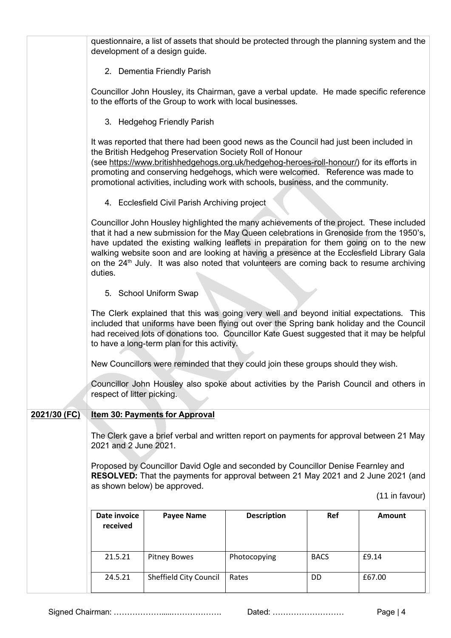|              | questionnaire, a list of assets that should be protected through the planning system and the<br>development of a design guide.                                                                                                                                                                                                                                                                                                                                                                 |                                                                                         |                    |             |               |  |
|--------------|------------------------------------------------------------------------------------------------------------------------------------------------------------------------------------------------------------------------------------------------------------------------------------------------------------------------------------------------------------------------------------------------------------------------------------------------------------------------------------------------|-----------------------------------------------------------------------------------------|--------------------|-------------|---------------|--|
|              | 2. Dementia Friendly Parish                                                                                                                                                                                                                                                                                                                                                                                                                                                                    |                                                                                         |                    |             |               |  |
|              | to the efforts of the Group to work with local businesses.                                                                                                                                                                                                                                                                                                                                                                                                                                     | Councillor John Housley, its Chairman, gave a verbal update. He made specific reference |                    |             |               |  |
|              | 3. Hedgehog Friendly Parish                                                                                                                                                                                                                                                                                                                                                                                                                                                                    |                                                                                         |                    |             |               |  |
|              | It was reported that there had been good news as the Council had just been included in<br>the British Hedgehog Preservation Society Roll of Honour<br>(see https://www.britishhedgehogs.org.uk/hedgehog-heroes-roll-honour/) for its efforts in<br>promoting and conserving hedgehogs, which were welcomed. Reference was made to<br>promotional activities, including work with schools, business, and the community.                                                                         |                                                                                         |                    |             |               |  |
|              | 4. Ecclesfield Civil Parish Archiving project                                                                                                                                                                                                                                                                                                                                                                                                                                                  |                                                                                         |                    |             |               |  |
|              | Councillor John Housley highlighted the many achievements of the project. These included<br>that it had a new submission for the May Queen celebrations in Grenoside from the 1950's,<br>have updated the existing walking leaflets in preparation for them going on to the new<br>walking website soon and are looking at having a presence at the Ecclesfield Library Gala<br>on the 24 <sup>th</sup> July. It was also noted that volunteers are coming back to resume archiving<br>duties. |                                                                                         |                    |             |               |  |
|              | 5. School Uniform Swap                                                                                                                                                                                                                                                                                                                                                                                                                                                                         |                                                                                         |                    |             |               |  |
|              | The Clerk explained that this was going very well and beyond initial expectations. This<br>included that uniforms have been flying out over the Spring bank holiday and the Council<br>had received lots of donations too. Councillor Kate Guest suggested that it may be helpful<br>to have a long-term plan for this activity.                                                                                                                                                               |                                                                                         |                    |             |               |  |
|              | New Councillors were reminded that they could join these groups should they wish.                                                                                                                                                                                                                                                                                                                                                                                                              |                                                                                         |                    |             |               |  |
|              | Councillor John Housley also spoke about activities by the Parish Council and others in<br>respect of litter picking.                                                                                                                                                                                                                                                                                                                                                                          |                                                                                         |                    |             |               |  |
| 2021/30 (FC) |                                                                                                                                                                                                                                                                                                                                                                                                                                                                                                | <b>Item 30: Payments for Approval</b>                                                   |                    |             |               |  |
|              | The Clerk gave a brief verbal and written report on payments for approval between 21 May<br>2021 and 2 June 2021.                                                                                                                                                                                                                                                                                                                                                                              |                                                                                         |                    |             |               |  |
|              | Proposed by Councillor David Ogle and seconded by Councillor Denise Fearnley and<br>RESOLVED: That the payments for approval between 21 May 2021 and 2 June 2021 (and<br>as shown below) be approved.                                                                                                                                                                                                                                                                                          |                                                                                         |                    |             |               |  |
|              | (11 in favour)                                                                                                                                                                                                                                                                                                                                                                                                                                                                                 |                                                                                         |                    |             |               |  |
|              | Date invoice<br>received                                                                                                                                                                                                                                                                                                                                                                                                                                                                       | <b>Payee Name</b>                                                                       | <b>Description</b> | Ref         | <b>Amount</b> |  |
|              |                                                                                                                                                                                                                                                                                                                                                                                                                                                                                                |                                                                                         |                    |             |               |  |
|              | 21.5.21                                                                                                                                                                                                                                                                                                                                                                                                                                                                                        | <b>Pitney Bowes</b>                                                                     | Photocopying       | <b>BACS</b> | £9.14         |  |
|              | 24.5.21                                                                                                                                                                                                                                                                                                                                                                                                                                                                                        | Sheffield City Council                                                                  | Rates              | DD          | £67.00        |  |

Signed Chairman: ……………….....………………. Dated: ……………………… Page | 4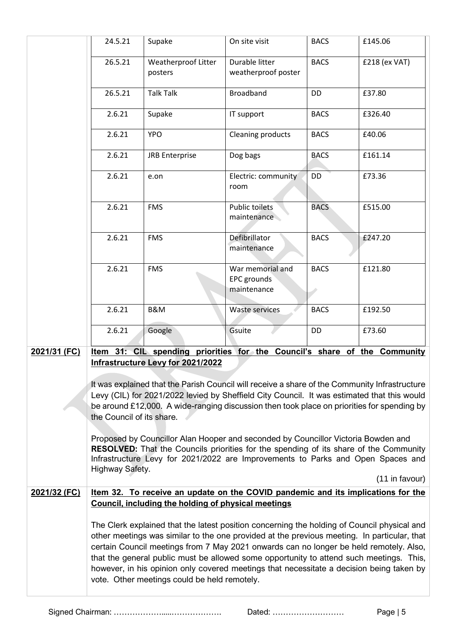|                                                                                                                                                                                                                                                                                                                         | 24.5.21                                                                                                                                                                                                                                                                                                                                                                                                                                                                                                                     | Supake                                              | On site visit                                                                    | <b>BACS</b> | £145.06        |
|-------------------------------------------------------------------------------------------------------------------------------------------------------------------------------------------------------------------------------------------------------------------------------------------------------------------------|-----------------------------------------------------------------------------------------------------------------------------------------------------------------------------------------------------------------------------------------------------------------------------------------------------------------------------------------------------------------------------------------------------------------------------------------------------------------------------------------------------------------------------|-----------------------------------------------------|----------------------------------------------------------------------------------|-------------|----------------|
|                                                                                                                                                                                                                                                                                                                         | 26.5.21                                                                                                                                                                                                                                                                                                                                                                                                                                                                                                                     | <b>Weatherproof Litter</b><br>posters               | Durable litter<br>weatherproof poster                                            | <b>BACS</b> | £218 (ex VAT)  |
|                                                                                                                                                                                                                                                                                                                         | 26.5.21                                                                                                                                                                                                                                                                                                                                                                                                                                                                                                                     | <b>Talk Talk</b>                                    | <b>Broadband</b>                                                                 | DD          | £37.80         |
|                                                                                                                                                                                                                                                                                                                         | 2.6.21                                                                                                                                                                                                                                                                                                                                                                                                                                                                                                                      | Supake                                              | IT support                                                                       | <b>BACS</b> | £326.40        |
|                                                                                                                                                                                                                                                                                                                         | 2.6.21                                                                                                                                                                                                                                                                                                                                                                                                                                                                                                                      | <b>YPO</b>                                          | Cleaning products                                                                | <b>BACS</b> | £40.06         |
|                                                                                                                                                                                                                                                                                                                         | 2.6.21                                                                                                                                                                                                                                                                                                                                                                                                                                                                                                                      | <b>JRB Enterprise</b>                               | Dog bags                                                                         | <b>BACS</b> | £161.14        |
|                                                                                                                                                                                                                                                                                                                         | 2.6.21                                                                                                                                                                                                                                                                                                                                                                                                                                                                                                                      | e.on                                                | Electric: community<br>room                                                      | DD          | £73.36         |
|                                                                                                                                                                                                                                                                                                                         | 2.6.21                                                                                                                                                                                                                                                                                                                                                                                                                                                                                                                      | <b>FMS</b>                                          | <b>Public toilets</b><br>maintenance                                             | <b>BACS</b> | £515.00        |
|                                                                                                                                                                                                                                                                                                                         | 2.6.21                                                                                                                                                                                                                                                                                                                                                                                                                                                                                                                      | <b>FMS</b>                                          | Defibrillator<br>maintenance                                                     | <b>BACS</b> | £247.20        |
|                                                                                                                                                                                                                                                                                                                         | 2.6.21                                                                                                                                                                                                                                                                                                                                                                                                                                                                                                                      | <b>FMS</b>                                          | War memorial and<br>EPC grounds<br>maintenance                                   | <b>BACS</b> | £121.80        |
|                                                                                                                                                                                                                                                                                                                         | 2.6.21                                                                                                                                                                                                                                                                                                                                                                                                                                                                                                                      | <b>B&amp;M</b>                                      | Waste services                                                                   | <b>BACS</b> | £192.50        |
|                                                                                                                                                                                                                                                                                                                         | 2.6.21                                                                                                                                                                                                                                                                                                                                                                                                                                                                                                                      | Google                                              | Gsuite                                                                           | DD          | £73.60         |
| 2021/31 (FC)                                                                                                                                                                                                                                                                                                            | Item 31: CIL spending priorities for the Council's share of the Community<br>Infrastructure Levy for 2021/2022                                                                                                                                                                                                                                                                                                                                                                                                              |                                                     |                                                                                  |             |                |
| It was explained that the Parish Council will receive a share of the Community Infrastructure<br>Levy (CIL) for 2021/2022 levied by Sheffield City Council. It was estimated that this would<br>be around £12,000. A wide-ranging discussion then took place on priorities for spending by<br>the Council of its share. |                                                                                                                                                                                                                                                                                                                                                                                                                                                                                                                             |                                                     |                                                                                  |             |                |
|                                                                                                                                                                                                                                                                                                                         | Proposed by Councillor Alan Hooper and seconded by Councillor Victoria Bowden and<br><b>RESOLVED:</b> That the Councils priorities for the spending of its share of the Community<br>Infrastructure Levy for 2021/2022 are Improvements to Parks and Open Spaces and<br>Highway Safety.                                                                                                                                                                                                                                     |                                                     |                                                                                  |             |                |
|                                                                                                                                                                                                                                                                                                                         |                                                                                                                                                                                                                                                                                                                                                                                                                                                                                                                             |                                                     |                                                                                  |             | (11 in favour) |
| 2021/32 (FC)                                                                                                                                                                                                                                                                                                            |                                                                                                                                                                                                                                                                                                                                                                                                                                                                                                                             | Council, including the holding of physical meetings | Item 32. To receive an update on the COVID pandemic and its implications for the |             |                |
|                                                                                                                                                                                                                                                                                                                         | The Clerk explained that the latest position concerning the holding of Council physical and<br>other meetings was similar to the one provided at the previous meeting. In particular, that<br>certain Council meetings from 7 May 2021 onwards can no longer be held remotely. Also,<br>that the general public must be allowed some opportunity to attend such meetings. This,<br>however, in his opinion only covered meetings that necessitate a decision being taken by<br>vote. Other meetings could be held remotely. |                                                     |                                                                                  |             |                |